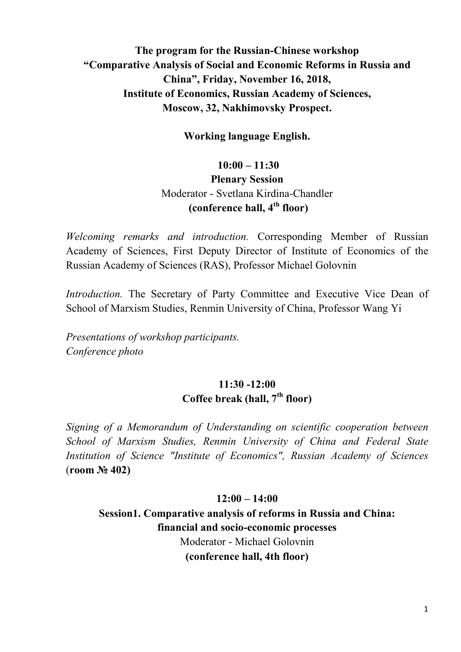### **The program for the Russian-Chinese workshop "Comparative Analysis of Social and Economic Reforms in Russia and China", Friday, November 16, 2018, Institute of Economics, Russian Academy of Sciences, Moscow, 32, Nakhimovsky Prospect.**

**Working language English.**

## **10:00 – 11:30 Plenary Session** Moderator - Svetlana Kirdina-Chandler  **(conference hall, 4th floor)**

*Welcoming remarks and introduction.* Corresponding Member of Russian Academy of Sciences, First Deputy Director of Institute of Economics of the Russian Academy of Sciences (RAS), Professor Michael Golovnin

*Introduction.* The Secretary of Party Committee and Executive Vice Dean of School of Marxism Studies, Renmin University of China, Professor Wang Yi

*Presentations of workshop participants. Conference photo*

### **11:30 -12:00 Coffee break (hall, 7th floor)**

*Signing of a Memorandum of Understanding on scientific cooperation between School of Marxism Studies, Renmin University of China and Federal State Institution of Science "Institute of Economics", Russian Academy of Sciences* (**room № 402)**

#### **12:00 – 14:00**

**Session1. Comparative analysis of reforms in Russia and China: financial and socio-economic processes** Moderator - Michael Golovnin **(conference hall, 4th floor)**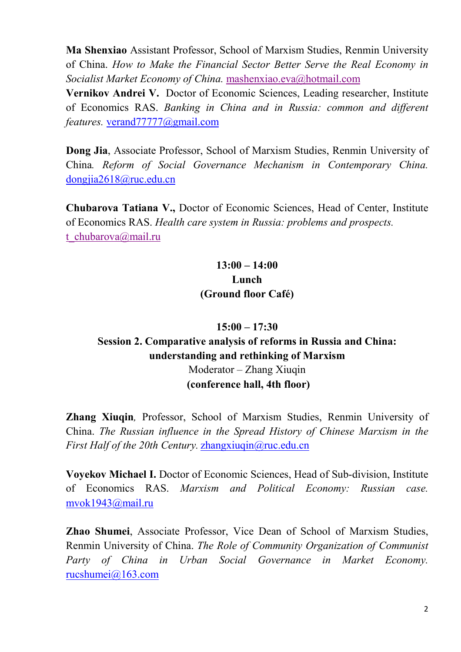**Ma Shenxiao** Assistant Professor, School of Marxism Studies, Renmin University of China. *How to Make the Financial Sector Better Serve the Real Economy in Socialist Market Economy of China.* mashenxiao.eva@hotmail.com

**Vernikov Andrei V.**Doctor of Economic Sciences, Leading researcher, Institute of Economics RAS. *Banking in China and in Russia: common and different features.* verand77777@gmail.com

**Dong Jia**, Associate Professor, School of Marxism Studies, Renmin University of China*. Reform of Social Governance Mechanism in Contemporary China.* dongjia2618@ruc.edu.cn

**Chubarova Tatiana V.,** Doctor of Economic Sciences, Head of Center, Institute of Economics RAS. *Health care system in Russia: problems and prospects.* t\_chubarova@mail.ru

### **13:00 – 14:00 Lunch (Ground floor Café)**

# **15:00 – 17:30 Session 2. Comparative analysis of reforms in Russia and China: understanding and rethinking of Marxism** Moderator – Zhang Xiuqin  **(conference hall, 4th floor)**

**Zhang Xiuqin***,* Professor, School of Marxism Studies, Renmin University of China. *The Russian influence in the Spread History of Chinese Marxism in the First Half of the 20th Century.* zhangxiuqin@ruc.edu.cn

**Voyekov Michael I.** Doctor of Economic Sciences, Head of Sub-division, Institute of Economics RAS. *Marxism and Political Economy: Russian case.* mvok1943@mail.ru

**Zhao Shumei**, Associate Professor, Vice Dean of School of Marxism Studies, Renmin University of China. *The Role of Community Organization of Communist Party of China in Urban Social Governance in Market Economy.* rucshumei@163.com